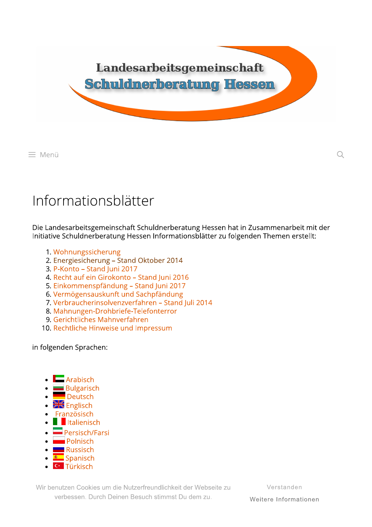

≡ Menü

## Informationsblätter

Die Landesarbeitsgemeinschaft Schuldnerberatung Hessen hat in Zusammenarbeit mit der Initiative Schuldnerberatung Hessen Informationsblätter zu folgenden Themen erstellt:

- 1. Wohnungssicherung
- 2. Energiesicherung Stand Oktober 2014
- 3. P-Konto Stand Juni 2017
- 4. Recht auf ein Girokonto Stand Juni 2016
- 5. Einkommenspfändung Stand Juni 2017
- 6. Vermögensauskunft und Sachpfändung
- 7. Verbraucherinsolvenzverfahren Stand Juli 2014
- 8. Mahnungen-Drohbriefe-Telefonterror
- 9. Gerichtliches Mahnverfahren
- 10. Rechtliche Hinweise und Impressum

in folgenden Sprachen:

- $\Box$  Arabisch
- **Bulgarisch**
- Deutsch
- · **XX** Englisch
- Französisch
- **I**II Italienisch
- $\blacksquare$  Persisch/Farsi
- **Polnisch**
- Russisch
- <u><sup>●</sup> Spanisch</u>
- **C**<sup>\*</sup> Türkisch

Wir benutzen Cookies um die Nutzerfreundlichkeit der Webseite zu verbessen. Durch Deinen Besuch stimmst Du dem zu.

Verstanden

 $\mathcal{Q}$ 

Weitere Informationen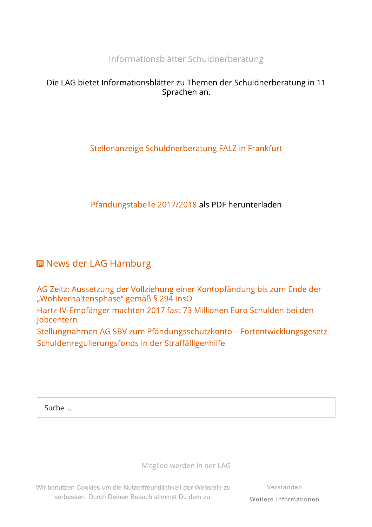Informationsblätter Schuldnerberatung

## Die LAG bietet Informationsblätter zu Themen der Schuldnerberatung in 11 Sprachen an.

## Stellenanzeige Schuldnerberatung FALZ in Frankfurt

Pfändungstabelle 2017/2018 als PDF herunterladen

## **News der LAG Hamburg**

AG Zeitz: Aussetzung der Vollziehung einer Kontopfändung bis zum Ende der "Wohlverhaltensphase" gemäß § 294 InsO Hartz-IV-Empfänger machten 2017 fast 73 Millionen Euro Schulden bei den Jobcentern Stellungnahmen AG SBV zum Pfändungsschutzkonto – Fortentwicklungsgesetz Schuldenregulierungsfonds in der Straffälligenhilfe

Suche ...

Mitglied werden in der LAG

Wir benutzen Cookies um die Nutzerfreundlichkeit der Webseite zu verbessen. Durch Deinen Besuch stimmst Du dem zu.

Verstanden Weitere Informationen